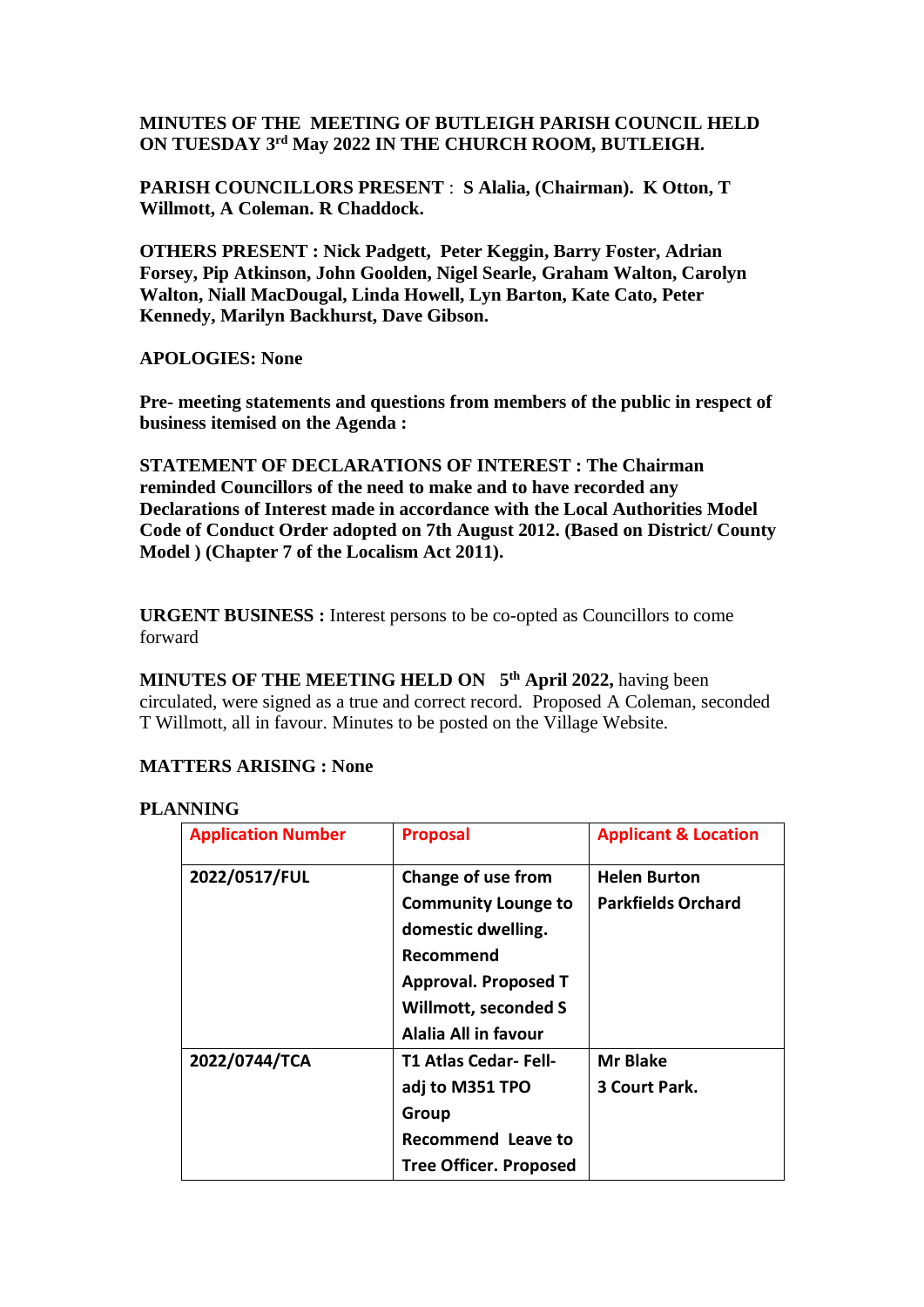## **MINUTES OF THE MEETING OF BUTLEIGH PARISH COUNCIL HELD ON TUESDAY 3 rd May 2022 IN THE CHURCH ROOM, BUTLEIGH.**

**PARISH COUNCILLORS PRESENT** : **S Alalia, (Chairman). K Otton, T Willmott, A Coleman. R Chaddock.**

**OTHERS PRESENT : Nick Padgett, Peter Keggin, Barry Foster, Adrian Forsey, Pip Atkinson, John Goolden, Nigel Searle, Graham Walton, Carolyn Walton, Niall MacDougal, Linda Howell, Lyn Barton, Kate Cato, Peter Kennedy, Marilyn Backhurst, Dave Gibson.**

#### **APOLOGIES: None**

**Pre- meeting statements and questions from members of the public in respect of business itemised on the Agenda :**

**STATEMENT OF DECLARATIONS OF INTEREST : The Chairman reminded Councillors of the need to make and to have recorded any Declarations of Interest made in accordance with the Local Authorities Model Code of Conduct Order adopted on 7th August 2012. (Based on District/ County Model ) (Chapter 7 of the Localism Act 2011).**

**URGENT BUSINESS :** Interest persons to be co-opted as Councillors to come forward

**MINUTES OF THE MEETING HELD ON 5 th April 2022,** having been circulated, were signed as a true and correct record. Proposed A Coleman, seconded T Willmott, all in favour. Minutes to be posted on the Village Website.

#### **MATTERS ARISING : None**

#### **PLANNING**

| <b>Application Number</b> | <b>Proposal</b>               | <b>Applicant &amp; Location</b> |  |
|---------------------------|-------------------------------|---------------------------------|--|
| 2022/0517/FUL             | Change of use from            | <b>Helen Burton</b>             |  |
|                           | <b>Community Lounge to</b>    | <b>Parkfields Orchard</b>       |  |
|                           | domestic dwelling.            |                                 |  |
|                           | Recommend                     |                                 |  |
|                           | <b>Approval. Proposed T</b>   |                                 |  |
|                           | Willmott, seconded S          |                                 |  |
|                           | Alalia All in favour          |                                 |  |
| 2022/0744/TCA             | T1 Atlas Cedar- Fell-         | Mr Blake                        |  |
|                           | adj to M351 TPO               | 3 Court Park.                   |  |
|                           | Group                         |                                 |  |
|                           | <b>Recommend Leave to</b>     |                                 |  |
|                           | <b>Tree Officer. Proposed</b> |                                 |  |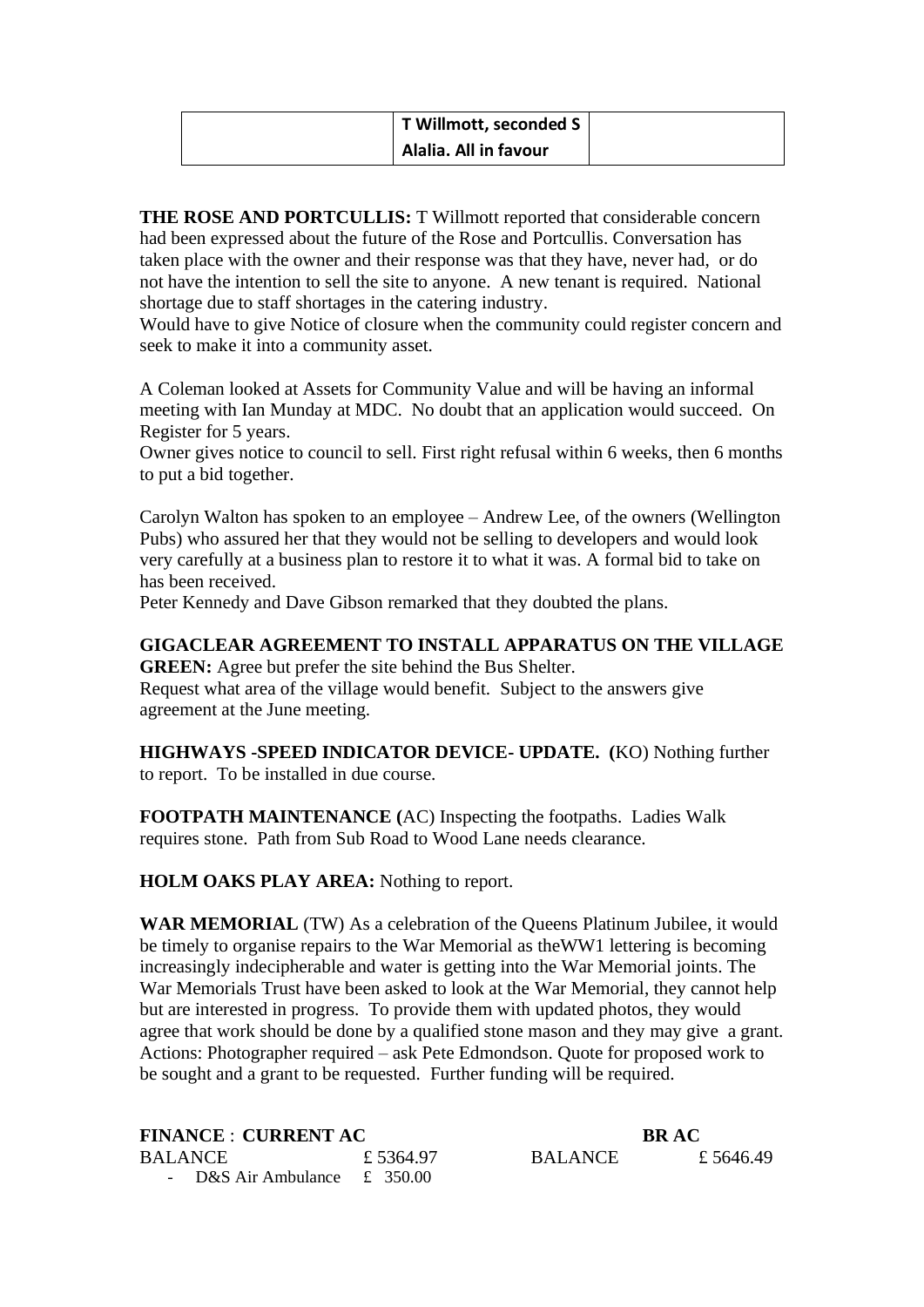| T Willmott, seconded S |  |
|------------------------|--|
| Alalia. All in favour  |  |

**THE ROSE AND PORTCULLIS:** T Willmott reported that considerable concern had been expressed about the future of the Rose and Portcullis. Conversation has taken place with the owner and their response was that they have, never had, or do not have the intention to sell the site to anyone. A new tenant is required. National shortage due to staff shortages in the catering industry.

Would have to give Notice of closure when the community could register concern and seek to make it into a community asset.

A Coleman looked at Assets for Community Value and will be having an informal meeting with Ian Munday at MDC. No doubt that an application would succeed. On Register for 5 years.

Owner gives notice to council to sell. First right refusal within 6 weeks, then 6 months to put a bid together.

Carolyn Walton has spoken to an employee – Andrew Lee, of the owners (Wellington Pubs) who assured her that they would not be selling to developers and would look very carefully at a business plan to restore it to what it was. A formal bid to take on has been received.

Peter Kennedy and Dave Gibson remarked that they doubted the plans.

## **GIGACLEAR AGREEMENT TO INSTALL APPARATUS ON THE VILLAGE**

**GREEN:** Agree but prefer the site behind the Bus Shelter. Request what area of the village would benefit. Subject to the answers give agreement at the June meeting.

**HIGHWAYS -SPEED INDICATOR DEVICE- UPDATE. (**KO) Nothing further to report. To be installed in due course.

**FOOTPATH MAINTENANCE (**AC) Inspecting the footpaths. Ladies Walk requires stone. Path from Sub Road to Wood Lane needs clearance.

**HOLM OAKS PLAY AREA:** Nothing to report.

**WAR MEMORIAL** (TW) As a celebration of the Queens Platinum Jubilee, it would be timely to organise repairs to the War Memorial as theWW1 lettering is becoming increasingly indecipherable and water is getting into the War Memorial joints. The War Memorials Trust have been asked to look at the War Memorial, they cannot help but are interested in progress. To provide them with updated photos, they would agree that work should be done by a qualified stone mason and they may give a grant. Actions: Photographer required – ask Pete Edmondson. Quote for proposed work to be sought and a grant to be requested. Further funding will be required.

| <b>FINANCE : CURRENT AC</b>      |           | <b>BRAC</b>    |           |  |
|----------------------------------|-----------|----------------|-----------|--|
| BALANCE                          | £ 5364.97 | <b>BALANCE</b> | £ 5646.49 |  |
| - D&S Air Ambulance $\pm$ 350.00 |           |                |           |  |